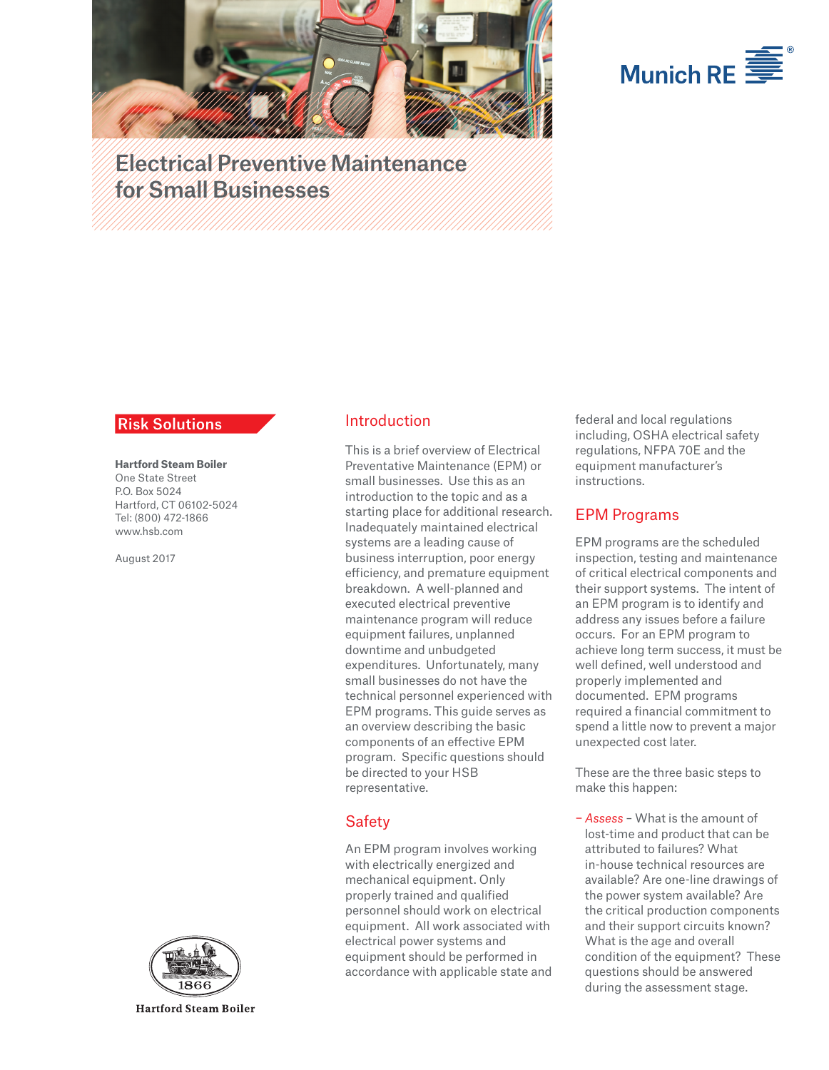



Electrical Preventive Maintenance for Small Businesses

#### **Risk Solutions**

**Hartford Steam Boiler**  One State Street P.O. Box 5024 Hartford, CT 06102-5024 Tel: (800) 472-1866 www.hsb.com

August 2017



**Hartford Steam Boiler** 

## Introduction

This is a brief overview of Electrical Preventative Maintenance (EPM) or small businesses. Use this as an introduction to the topic and as a starting place for additional research. Inadequately maintained electrical systems are a leading cause of business interruption, poor energy efficiency, and premature equipment breakdown. A well-planned and executed electrical preventive maintenance program will reduce equipment failures, unplanned downtime and unbudgeted expenditures. Unfortunately, many small businesses do not have the technical personnel experienced with EPM programs. This guide serves as an overview describing the basic components of an effective EPM program. Specific questions should be directed to your HSB representative.

## **Safety**

An EPM program involves working with electrically energized and mechanical equipment. Only properly trained and qualified personnel should work on electrical equipment. All work associated with electrical power systems and equipment should be performed in accordance with applicable state and federal and local regulations including, OSHA electrical safety regulations, NFPA 70E and the equipment manufacturer's instructions.

### EPM Programs

EPM programs are the scheduled inspection, testing and maintenance of critical electrical components and their support systems. The intent of an EPM program is to identify and address any issues before a failure occurs. For an EPM program to achieve long term success, it must be well defined, well understood and properly implemented and documented. EPM programs required a financial commitment to spend a little now to prevent a major unexpected cost later.

These are the three basic steps to make this happen:

− *Assess* – What is the amount of lost-time and product that can be attributed to failures? What in-house technical resources are available? Are one-line drawings of the power system available? Are the critical production components and their support circuits known? What is the age and overall condition of the equipment? These questions should be answered during the assessment stage.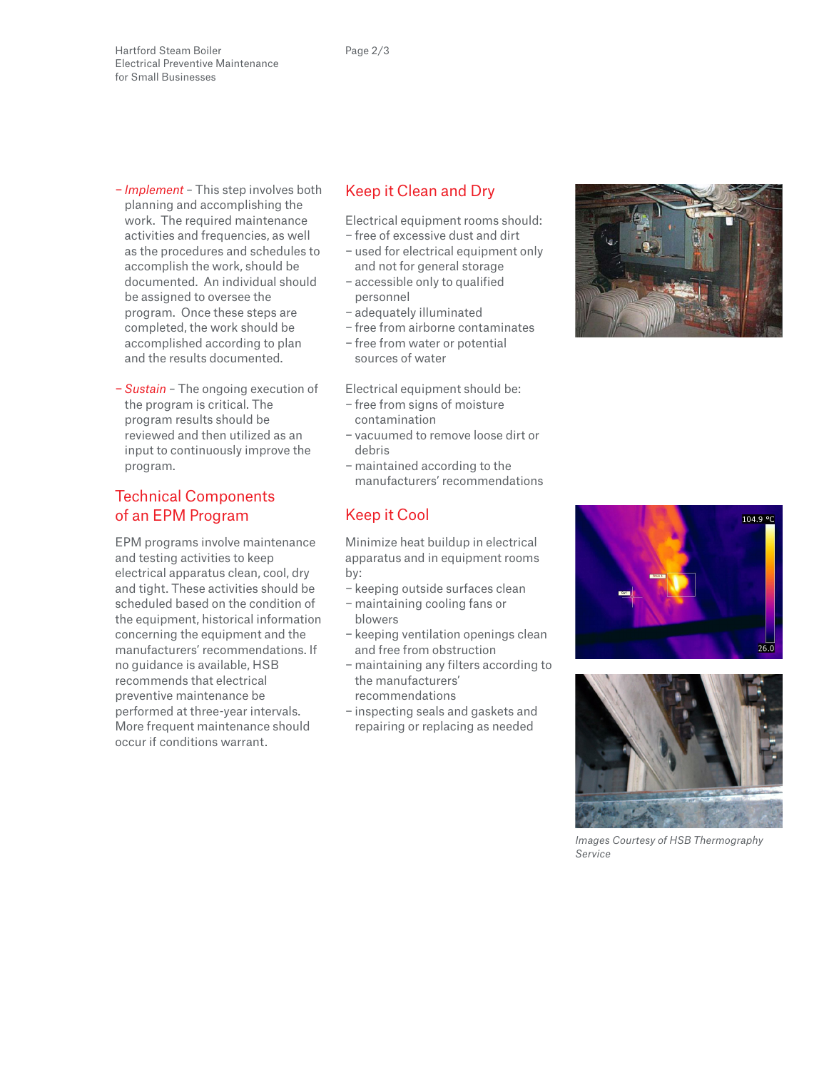Hartford Steam Boiler Electrical Preventive Maintenance for Small Businesses

- − *Implement* This step involves both planning and accomplishing the work. The required maintenance activities and frequencies, as well as the procedures and schedules to accomplish the work, should be documented. An individual should be assigned to oversee the program. Once these steps are completed, the work should be accomplished according to plan and the results documented.
- − *Sustain* The ongoing execution of the program is critical. The program results should be reviewed and then utilized as an input to continuously improve the program.

## Technical Components of an EPM Program

EPM programs involve maintenance and testing activities to keep electrical apparatus clean, cool, dry and tight. These activities should be scheduled based on the condition of the equipment, historical information concerning the equipment and the manufacturers' recommendations. If no guidance is available, HSB recommends that electrical preventive maintenance be performed at three-year intervals. More frequent maintenance should occur if conditions warrant.

# Keep it Clean and Dry

Electrical equipment rooms should: − free of excessive dust and dirt

- − used for electrical equipment only and not for general storage
- − accessible only to qualified personnel
- − adequately illuminated
- − free from airborne contaminates
- − free from water or potential sources of water

Electrical equipment should be:

- − free from signs of moisture contamination
- − vacuumed to remove loose dirt or debris
- − maintained according to the manufacturers' recommendations

## Keep it Cool

Minimize heat buildup in electrical apparatus and in equipment rooms by:

- − keeping outside surfaces clean
- − maintaining cooling fans or blowers
- − keeping ventilation openings clean and free from obstruction
- − maintaining any filters according to the manufacturers' recommendations
- − inspecting seals and gaskets and repairing or replacing as needed







*Images Courtesy of HSB Thermography Service*